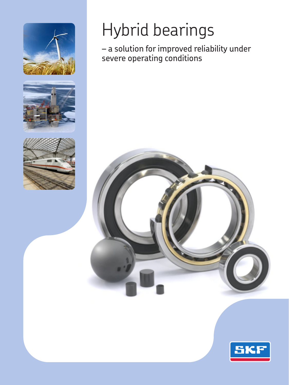





# Hybrid bearings

– a solution for improved reliability under severe operating conditions



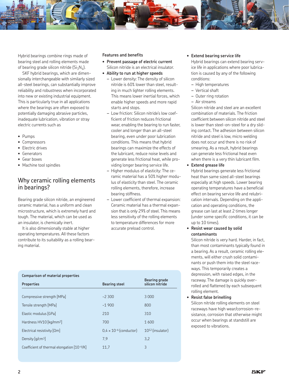

Hybrid bearings combine rings made of bearing steel and rolling elements made of bearing grade silicon nitride  $(Si_3N_4)$ .

SKF hybrid bearings, which are dimensionally interchangeable with similarly sized all-steel bearings, can substantially improve reliability and robustness when incorporated into new or existing industrial equipment. This is particularly true in all applications where the bearings are often exposed to potentially damaging abrasive particles, inadequate lubrication, vibration or stray electric currents such as

- • Pumps
- • Compressors
- Electric drives
- • Generators
- Gear boxes
- Machine tool spindles

## Why ceramic rolling elements in bearings?

Bearing grade silicon nitride, an engineered ceramic material, has a uniform and clean microstructure, which is extremely hard and tough. The material, which can be used as an insulator, is chemically inert.

It is also dimensionally stable at higher operating temperatures. All these factors contribute to its suitability as a rolling bearing material.

#### **Features and benefits**

- • **Prevent passage of electric current** Silicon nitride is an electrical insulator.
- • **Ability to run at higher speeds**
	- *–* Lower density: The density of silicon nitride is 60% lower than steel, resulting in much lighter rolling elements. This means lower inertial forces, which enable higher speeds and more rapid starts and stops.
	- *–* Low friction: Silicon nitride's low coefficient of friction reduces frictional wear, enabling the bearing to run faster, cooler and longer than an all-steel bearing, even under poor lubrication conditions. This means that hybrid bearings can maximize the effects of the lubricant, reduce noise levels and generate less frictional heat, while providing longer bearing service life.
	- *–* Higher modulus of elasticity: The ceramic material has a 50% higher modulus of elasticity than steel. The ceramic rolling elements, therefore, increase bearing stiffness.
	- *–* Lower coefficient of thermal expansion: Ceramic material has a thermal expansion that is only 29% of steel. This means less sensitivity of the rolling elements to temperature differences for more accurate preload control.

#### • **Extend bearing service life**

Hybrid bearings can extend bearing service life in applications where poor lubrication is caused by any of the following conditions:

- *–* High temperatures
- *–* Vertical shaft
- *–* Outer ring rotation
- *–* Air streams

Silicon nitride and steel are an excellent combination of materials. The friction coefficient between silicon nitride and steel is lower than steel-on-steel for a dry sliding contact. The adhesion between silicon nitride and steel is low, micro welding does not occur and there is no risk of smearing. As a result, hybrid bearings can generate less frictional heat even when there is a very thin lubricant film.

• **Extend grease life**

Hybrid bearings generate less frictional heat than same sized all-steel bearings especially at high speeds. Lower bearing operating temperatures have a beneficial effect on bearing service life and relubrication intervals. Depending on the application and operating conditions, the grease can last at least 2 times longer (under some specific conditions, it can be up to 10 times).

• **Resist wear caused by solid contaminants**

Silicon nitride is very hard. Harder, in fact, than most contaminants typically found in a bearing. As a result, ceramic rolling elements, will either crush solid contaminants or push them into the steel raceways. This temporarily creates a depression, with raised edges, in the raceway. The damage is quickly overrolled and flattened by each subsequent rolling element.

• **Resist false brinelling**

Silicon nitride rolling elements on steel raceways have high wear/corrosion-resistance, corrosion that otherwise might occur when bearings at standstill are exposed to vibrations.

| Comparison of material properties          |                                  |                                         |  |  |  |
|--------------------------------------------|----------------------------------|-----------------------------------------|--|--|--|
| Properties                                 | <b>Bearing steel</b>             | <b>Bearing grade</b><br>silicon nitride |  |  |  |
| Compressive strength [MPa]                 | $-2300$                          | 3 0 0 0                                 |  |  |  |
| Tensile strength [MPa]                     | $-1900$                          | 800                                     |  |  |  |
| Elastic modulus [GPa]                      | 210                              | 310                                     |  |  |  |
| Hardness HV10 [kg/mm <sup>2]</sup>         | 700                              | 1600                                    |  |  |  |
| Electrical resistivity $[\Omega m]$        | $0.4 \times 10^{-6}$ (conductor) | $10^{12}$ (insulator)                   |  |  |  |
| Density $[q/cm3]$                          | 7.9                              | 3.2                                     |  |  |  |
| Coefficient of thermal elongation [10-6/K] | 11.7                             | 3                                       |  |  |  |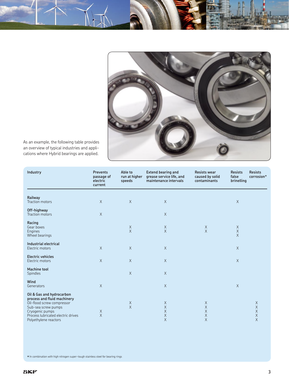

As an example, the following table provides an overview of typical industries and applications where Hybrid bearings are applied.

| Industry                                                                                                                                                                                        | <b>Prevents</b><br>passage of<br>electric<br>current | Able to<br>run at higher<br>speeds | <b>Extend bearing and</b><br>grease service life, and<br>maintenance intervals | <b>Resists wear</b><br>caused by solid<br>contaminants | <b>Resists</b><br>false<br>brinelling | <b>Resists</b><br>corrosion*                               |
|-------------------------------------------------------------------------------------------------------------------------------------------------------------------------------------------------|------------------------------------------------------|------------------------------------|--------------------------------------------------------------------------------|--------------------------------------------------------|---------------------------------------|------------------------------------------------------------|
| Railway<br>Traction motors                                                                                                                                                                      | $\times$                                             | $\times$                           | $\times$                                                                       |                                                        | $\mathsf X$                           |                                                            |
| Off-highway<br>Traction motors                                                                                                                                                                  | $\mathsf X$                                          |                                    | $\mathsf X$                                                                    |                                                        |                                       |                                                            |
| Racing<br>Gear boxes<br>Engines<br>Wheel bearings                                                                                                                                               |                                                      | $_{\rm X}^{\rm X}$                 | X<br>$\times$                                                                  | $_{\rm X}^{\rm X}$                                     | $\times$                              |                                                            |
| Industrial electrical<br>Electric motors                                                                                                                                                        | $\times$                                             | $\mathsf X$                        | $\mathsf X$                                                                    |                                                        | $\mathsf X$                           |                                                            |
| <b>Electric vehicles</b><br>Electric motors                                                                                                                                                     | $\times$                                             | $\mathsf X$                        | $\times$                                                                       |                                                        | $\mathsf X$                           |                                                            |
| <b>Machine tool</b><br>Spindles                                                                                                                                                                 |                                                      | $\mathsf X$                        | $\times$                                                                       |                                                        |                                       |                                                            |
| Wind<br>Generators                                                                                                                                                                              | $\times$                                             |                                    | $\times$                                                                       |                                                        | $\times$                              |                                                            |
| Oil & Gas and hydrocarbon<br>process and fluid machinery<br>Oil-flood screw compressor<br>Sub-sea screw pumps<br>Cryogenic pumps<br>Process lubricated electric drives<br>Polyethylene reactors | $\mathsf X$<br>$\times$                              | $_{\rm X}^{\rm X}$                 | X<br>$\mathsf X$<br>$\times$<br>$\mathsf X$<br>$\times$                        | Χ<br>X<br>X<br>X<br>$\times$                           |                                       | X<br>$\mathsf X$<br>$\mathsf X$<br>$\mathsf X$<br>$\times$ |

**\***In combination with high nitrogen super-tough stainless steel for bearing rings